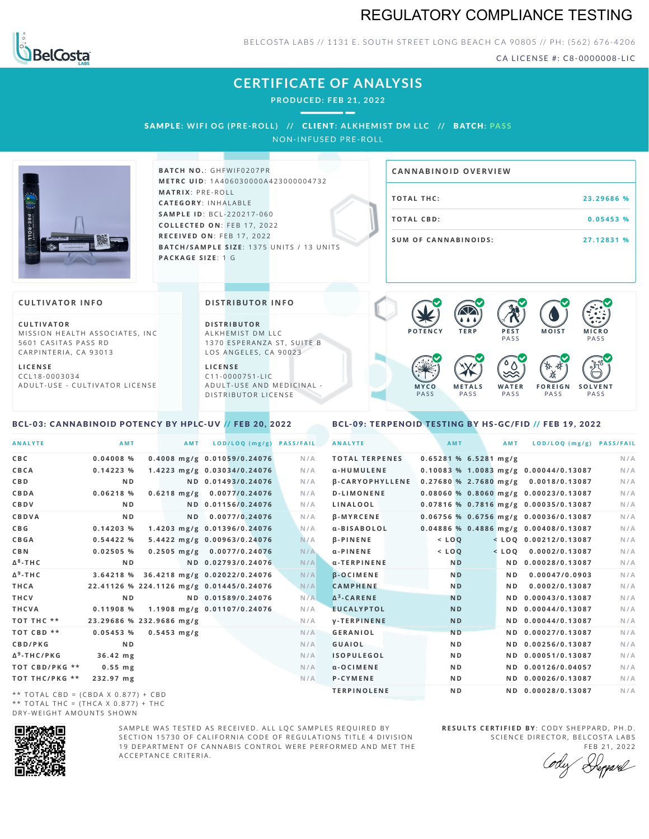## REGULATORY COMPLIANCE TESTING



### BELCOSTA LABS // 1131 E. SOUTH STREET LONG BEACH C A 90805 // PH: (562) 676-4206

CA LICENSE #: C8-0000008-LIC

**M O IS T M IC R O PASS** 

**S O L V E N T** PA S S

## **CERTIFICATE OF ANALYSIS**

**PRODUCED: F EB 21, 2022**

SAMPLE: WIFI OG (PRE-ROLL) // CLIENT: ALKHEMIST DM LLC // BATCH: PASS NON-INFUSED PRE-ROLL



 $BATCH NO.: GHFWIF0207PR$ **M E T R C U ID** :1 A 4 0 6 0 3 0 0 0 0 A 4 2 3 0 0 0 0 0 4 7 3 2 **M AT R I X** :P R E - R O L L **CAT E G O R Y** : I N H A L A B L E **SA M P L E I D** :B C L - 2 2 0 2 1 7 - 0 6 0 **C O L L E C T E D O N** :F E B 1 7 , 2 0 2 2 **R E C E I V E D O N** : F E B 1 7 , 2 0 2 2 **BATCH/SAMPLE SIZE:** 1375 UNITS / 13 UNITS **PAC KA G E S I Z E** : 1 G

| <b>CANNABINOID OVERVIEW</b> |            |
|-----------------------------|------------|
| <b>TOTAL THC:</b>           | 23.29686 % |
| TOTAL CBD:                  | 0.05453%   |
| <b>SUM OF CANNABINOIDS:</b> | 27.12831 % |

PA S S

 $\bullet$  60 60 60 60

 $\bullet$  0.0 0.0 0.0

**W A T E R** PA S S

**F O R E I G N** PA S S

祅

### **CULTIVATOR I N FO**

**C U L T I VAT O R** MISSION HEALTH ASSOCIATES, INC. 5601 CASITAS PASS RD CARPINTERIA, CA 93013

**L I C E N S E** C C L 1 8 - 0 0 0 3 0 3 4 A D U L T - U S E - C U L T I V A T O R L I C E N S E

#### **DI STRIBUTOR I N FO**

**D I S T R IB U T O R** ALKHEMIST DM LLC 1370 ESPERANZA ST, SUITE B LOS ANGELES, CA 90023

**L I C E N S E** C 1 1 - 0 0 0 0 7 5 1 - L I C A D U L T - U S E A N D M E D I C I N A L -D ISTRIBUTOR LICENSE

## <span id="page-0-0"></span>BCL-03: CANNABINOID POTENCY BY HPLC-UV // FEB 20, 2022

### <span id="page-0-1"></span>BCL-09: TERPENOID TESTING BY HS-GC/FID // FEB 19, 2022

**M E T A L S** PA S S

**M Y C O** PA S S

**P O T E N C Y T E R P P E S T**

| <b>ANALYTE</b>          | AMT            | <b>AMT</b>               | LOD/LOQ (mg/g)                           | <b>PASS/FAIL</b> | <b>ANALYTE</b>         | AMT                     | <b>AMT</b> | LOD/LOQ (mg/g) PASS/FAIL                |     |
|-------------------------|----------------|--------------------------|------------------------------------------|------------------|------------------------|-------------------------|------------|-----------------------------------------|-----|
| C B C                   | $0.04008$ %    |                          | 0.4008 mg/g 0.01059/0.24076              | N/A              | <b>TOTAL TERPENES</b>  | $0.65281$ % 6.5281 mg/g |            |                                         | N/A |
| CBCA                    | 0.14223%       |                          | 1.4223 mg/g 0.03034/0.24076              | N/A              | α-HUMULENE             |                         |            | 0.10083 % 1.0083 mg/g 0.00044/0.13087   | N/A |
| C B D                   | N <sub>D</sub> |                          | ND 0.01493/0.24076                       | N/A              | <b>B-CARYOPHYLLENE</b> |                         |            | $0.27680$ % 2.7680 mg/g 0.0018/0.13087  | N/A |
| <b>CBDA</b>             | $0.06218$ %    |                          | $0.6218$ mg/g $0.0077/0.24076$           | N/A              | <b>D-LIMONENE</b>      |                         |            | $0.08060$ % 0.8060 mg/g 0.00023/0.13087 | N/A |
| CBDV                    | N <sub>D</sub> |                          | ND 0.01156/0.24076                       | N/A              | LINALOOL               |                         |            | 0.07816 % 0.7816 mg/g 0.00035/0.13087   | N/A |
| CBDVA                   | N <sub>D</sub> | N <sub>D</sub>           | 0.0077/0.24076                           | N/A              | <b>B-MYRCENE</b>       |                         |            | 0.06756 % 0.6756 mg/g 0.00036/0.13087   | N/A |
| C B G                   | 0.14203%       |                          | 1.4203 mg/g 0.01396/0.24076              | N/A              | a-BISABOLOL            |                         |            | 0.04886 % 0.4886 mg/g 0.00408/0.13087   | N/A |
| CBGA                    | 0.54422%       |                          | 5.4422 mg/g 0.00963/0.24076              | N/A              | $\beta$ -PINENE        | $<$ LOQ                 |            | $<$ LOQ 0.00212/0.13087                 | N/A |
| C B N                   | 0.02505%       |                          | $0.2505$ mg/g $0.0077/0.24076$           | N/A              | α-PINENE               | $<$ $LOQ$               |            | $<$ LOQ 0.0002/0.13087                  | N/A |
| Δ <sup>8</sup> -ΤΗ C    | N <sub>D</sub> |                          | ND 0.02793/0.24076                       | N/A              | α-TERPINENE            | N <sub>D</sub>          |            | ND 0.00028/0.13087                      | N/A |
| Δ <sup>9</sup> -ΤΗ C    | 3.64218 %      |                          | 36.4218 mg/g 0.02022/0.24076             | N/A              | <b>B-OCIMENE</b>       | N <sub>D</sub>          | ND.        | 0.00047/0.0903                          | N/A |
| THCA                    |                |                          | 22.41126 % 224.1126 mg/g 0.01445/0.24076 | N/A              | <b>CAMPHENE</b>        | N <sub>D</sub>          | ND.        | 0.0002/0.13087                          | N/A |
| THCV                    | N <sub>D</sub> |                          | ND 0.01589/0.24076                       | N/A              | $\Delta^3$ -CARENE     | <b>ND</b>               |            | ND 0.00043/0.13087                      | N/A |
| THCVA                   | 0.11908%       |                          | 1.1908 mg/g 0.01107/0.24076              | N/A              | <b>EUCALYPTOL</b>      | <b>ND</b>               |            | ND 0.00044/0.13087                      | N/A |
| тот тнс **              |                | 23.29686 % 232.9686 mg/g |                                          | N/A              | <b>V-TERPINENE</b>     | <b>ND</b>               |            | ND 0.00044/0.13087                      | N/A |
| TOT CBD **              | 0.05453%       | $0.5453 \; mg/g$         |                                          | N/A              | <b>GERANIOL</b>        | N <sub>D</sub>          |            | ND 0.00027/0.13087                      | N/A |
| <b>CBD/PKG</b>          | N <sub>D</sub> |                          |                                          | N/A              | <b>GUAIOL</b>          | N <sub>D</sub>          |            | ND 0.00256/0.13087                      | N/A |
| Δ <sup>9</sup> -THC/PKG | 36.42 mg       |                          |                                          | N/A              | <b>ISOPULEGOL</b>      | N <sub>D</sub>          |            | ND 0.00051/0.13087                      | N/A |
| ТОТ СВD/РКG **          | $0.55$ mg      |                          |                                          | N/A              | $\alpha$ -OCIMENE      | N <sub>D</sub>          |            | ND 0.00126/0.04057                      | N/A |
| ТОТ ТНС/РКG **          | 232.97 mg      |                          |                                          | N/A              | P-CYMENE               | N D                     |            | ND 0.00026/0.13087                      | N/A |
|                         |                |                          |                                          |                  | <b>TERPINOLENE</b>     | ND.                     |            | ND 0.00028/0.13087                      | N/A |

\*\* TOTAL CBD = (CBDA X 0.877) + CBD \*\* TOTAL THC =  $(THCA X 0.877) + THC$ DRY-WEIGHT AMOUNTS SHOWN



SAMPLE WAS TESTED AS RECEIVED. ALL LOC SAMPLES REQUIRED BY SECTION 15730 OF CALIFORNIA CODE OF REGULATIONS TITLE 4 DIVISION 19 DEPARTMENT OF CANNABIS CONTROL WERE PERFORMED AND MET THE A C C E P T A N C E C R I T E R I A .

**R E S U L T S C E R T I F I E D BY** : C O D Y S H E P P A R D ,P H .D . SCIENCE DIRECTOR, BELCOSTA LABS

FEB 21, 2022 Deppard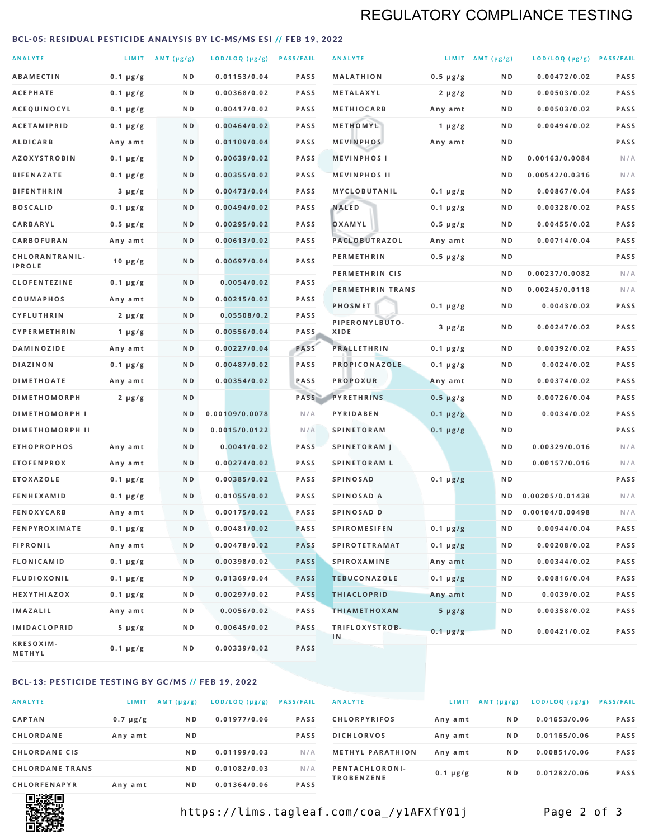## REGULATORY COMPLIANCE TESTING

#### <span id="page-1-0"></span>BCL-05: RESIDUAL PESTICIDE ANALYSIS BY LC-MS/MS ESI // FEB 19, 2022

| <b>ANALYTE</b>                          |                    | LIMIT AMT (µg/g) | LOD/LOQ (µg/g) PASS/FAIL    |                     | <b>ANALYTE</b>                             |                          | LIMIT AMT $(\mu g/g)$ | LOD/LOQ (µg/g) PASS/FAIL       |            |
|-----------------------------------------|--------------------|------------------|-----------------------------|---------------------|--------------------------------------------|--------------------------|-----------------------|--------------------------------|------------|
| <b>ABAMECTIN</b>                        | $0.1 \mu g/g$      | N D              | 0.01153/0.04                | <b>PASS</b>         | <b>MALATHION</b>                           | $0.5 \mu g/g$            | N D                   | 0.00472/0.02                   | PASS       |
| <b>ACEPHATE</b>                         | $0.1 \mu g/g$      | ND               | 0.00368/0.02                | <b>PASS</b>         | METALAXYL                                  | $2 \mu g/g$              | N D                   | 0.00503/0.02                   | PASS       |
| ACEQUINOCYL                             | $0.1 \mu g/g$      | N D              | 0.00417/0.02                | <b>PASS</b>         | <b>METHIOCARB</b>                          | Any amt                  | N D                   | 0.00503/0.02                   | PASS       |
| <b>ACETAMIPRID</b>                      | $0.1 \mu g/g$      | N D              | 0.00464/0.02                | <b>PASS</b>         | METHOMYL                                   | $1 \mu g/g$              | N D                   | 0.00494/0.02                   | PASS       |
| <b>ALDICARB</b>                         | Any amt            | N D              | 0.01109/0.04                | <b>PASS</b>         | <b>MEVINPHOS</b>                           | Any amt                  | N D                   |                                | PASS       |
| <b>AZOXYSTROBIN</b>                     | $0.1 \mu g/g$      | N D              | 0.00639/0.02                | <b>PASS</b>         | <b>MEVINPHOSI</b>                          |                          | N D                   | 0.00163/0.0084                 | N/A        |
| <b>BIFENAZATE</b>                       | $0.1 \mu g/g$      | N D              | 0.00355/0.02                | <b>PASS</b>         | <b>MEVINPHOS II</b>                        |                          | ND.                   | 0.00542/0.0316                 | N/A        |
| <b>BIFENTHRIN</b>                       | $3 \mu g/g$        | N D              | 0.00473/0.04                | <b>PASS</b>         | <b>MYCLOBUTANIL</b>                        | $0.1 \mu g/g$            | N D                   | 0.00867/0.04                   | PASS       |
| <b>BOSCALID</b>                         | $0.1 \mu g/g$      | N D              | 0.00494/0.02                | <b>PASS</b>         | <b>NALED</b>                               | $0.1 \mu g/g$            | N D                   | 0.00328/0.02                   | PASS       |
| CARBARYL                                | $0.5 \mu g/g$      | N D              | 0.00295/0.02                | <b>PASS</b>         | OXAMYL                                     | $0.5 \mu g/g$            | N D                   | 0.00455/0.02                   | PASS       |
| CARBOFURAN                              | Any amt            | N D              | 0.00613/0.02                | <b>PASS</b>         | PACLOBUTRAZOL                              | Any amt                  | N D                   | 0.00714/0.04                   | PASS       |
| CHLORANTRANIL-<br><b>IPROLE</b>         | $10 \mu g/g$       | N D              | 0.00697/0.04                | PASS                | <b>PERMETHRIN</b>                          | $0.5 \mu g/g$            | N D                   |                                | PASS       |
| <b>CLOFENTEZINE</b>                     |                    | N D              | 0.0054/0.02                 | <b>PASS</b>         | PERMETHRIN CIS                             |                          | N D                   | 0.00237/0.0082                 | N/A        |
|                                         | $0.1 \mu g/g$      | N D              | 0.00215/0.02                | <b>PASS</b>         | PERMETHRIN TRANS                           |                          | N D                   | 0.00245/0.0118                 | N/A        |
| <b>COUMAPHOS</b><br><b>CYFLUTHRIN</b>   | Any amt            | N D              | 0.05508/0.2                 | <b>PASS</b>         | <b>PHOSMET</b>                             | $0.1 \mu g/g$            | N D                   | 0.0043/0.02                    | PASS       |
| CYPERMETHRIN                            | $2 \mu g/g$        | N D              | 0.00556/0.04                | <b>PASS</b>         | PIPERONYLBUTO-<br>XIDE                     | $3 \mu g/g$              | N D                   | 0.00247/0.02                   | PASS       |
| <b>DAMINOZIDE</b>                       | 1 $\mu$ g/g        | N D              | 0.00227/0.04                | PASS                | <b>PRALLETHRIN</b>                         | $0.1 \mu g/g$            | N D                   | 0.00392/0.02                   | PASS       |
| <b>DIAZINON</b>                         | Any amt            | N D              | 0.00487/0.02                | <b>PASS</b>         | PROPICONAZOLE                              |                          | N D                   | 0.0024/0.02                    | PASS       |
| <b>DIMETHOATE</b>                       | $0.1 \mu g/g$      | N D              | 0.00354/0.02                | PASS                | <b>PROPOXUR</b>                            | $0.1 \mu g/g$            | N D                   | 0.00374/0.02                   | PASS       |
| <b>DIMETHOMORPH</b>                     | Any amt            | ND               |                             | PASS                | <b>PYRETHRINS</b>                          | Any amt<br>$0.5 \mu g/g$ | N D                   | 0.00726/0.04                   | PASS       |
| <b>DIMETHOMORPH I</b>                   | $2 \mu g/g$        | ND               | 0.00109/0.0078              | N/A                 | PYRIDABEN                                  |                          | N D                   | 0.0034/0.02                    | PASS       |
|                                         |                    |                  |                             |                     |                                            | $0.1 \mu g/g$            |                       |                                | PASS       |
| <b>DIMETHOMORPH II</b>                  |                    | ND               | 0.0015/0.0122               | N/A                 | <b>SPINETORAM</b>                          | $0.1 \mu g/g$            | N D                   |                                |            |
| <b>ETHOPROPHOS</b><br><b>ETOFENPROX</b> | Any amt<br>Any amt | N D<br>N D       | 0.0041/0.02<br>0.00274/0.02 | <b>PASS</b><br>PASS | <b>SPINETORAM J</b><br><b>SPINETORAM L</b> |                          | N D<br>N D            | 0.00329/0.016<br>0.00157/0.016 | N/A<br>N/A |
| <b>ETOXAZOLE</b>                        | $0.1 \mu g/g$      | ND               | 0.00385/0.02                | <b>PASS</b>         | <b>SPINOSAD</b>                            | $0.1 \mu g/g$            | N D                   |                                | PASS       |
| <b>FENHEXAMID</b>                       | $0.1 \mu g/g$      | N D              | 0.01055/0.02                | <b>PASS</b>         | SPINOSAD A                                 |                          | N D                   | 0.00205/0.01438                | N/A        |
| <b>FENOXYCARB</b>                       | Any amt            | N D              | 0.00175/0.02                | <b>PASS</b>         | <b>SPINOSAD D</b>                          |                          | N <sub>D</sub>        | 0.00104/0.00498                | N/A        |
| <b>FENPYROXIMATE</b>                    | $0.1 \mu g/g$      | N D              | 0.00481/0.02                | <b>PASS</b>         | <b>SPIROMESIFEN</b>                        | $0.1 \mu g/g$            | N D                   | 0.00944/0.04                   | PASS       |
| <b>FIPRONIL</b>                         | Any amt            | N D              | 0.00478/0.02                | <b>PASS</b>         | <b>SPIROTETRAMAT</b>                       | $0.1 \mu g/g$            | N D                   | 0.00208/0.02                   | PASS       |
| <b>FLONICAMID</b>                       | $0.1 \mu g/g$      | N D              | 0.00398/0.02                | <b>PASS</b>         | <b>SPIROXAMINE</b>                         | Any amt                  | N D                   | 0.00344/0.02                   | PASS       |
| <b>FLUDIOXONIL</b>                      | $0.1 \mu g/g$      | N D              | 0.01369/0.04                | <b>PASS</b>         | <b>TEBUCONAZOLE</b>                        | $0.1 \mu g/g$            | N D                   | 0.00816/0.04                   | PASS       |
| HEXYTHIAZOX                             | 0.1 µg/g           | N D              | 0.00297/0.02                | <b>PASS</b>         | <b>THIACLOPRID</b>                         | Any amt                  | N D                   | 0.0039/0.02                    | PASS       |
| <b>IMAZALIL</b>                         | Any amt            | N D              | 0.0056/0.02                 | PASS                | <b>THIAMETHOXAM</b>                        | $5 \mu g/g$              | N D                   | 0.00358/0.02                   | PASS       |
| <b>IMIDACLOPRID</b>                     | $5 \mu g/g$        | ND               | 0.00645/0.02                | <b>PASS</b>         | TRIFLOXYSTROB-                             |                          |                       |                                |            |
| KRESOXIM-<br>METHYL                     | $0.1 \mu g/g$      | N D              | 0.00339/0.02                | <b>PASS</b>         | 1 <sub>N</sub>                             | $0.1 \mu g/g$            | N D                   | 0.00421/0.02                   | PASS       |

### BCL-13: PESTICIDE TESTING BY GC/MS // FEB 19, 2022

| <b>ANALYTE</b>         | LIMIT         | $AMT$ ( $\mu g/g$ ) | $LOD/LOQ$ ( $\mu g/g$ ) | <b>PASS/FAIL</b> |
|------------------------|---------------|---------------------|-------------------------|------------------|
| <b>CAPTAN</b>          | $0.7 \mu g/g$ | N <sub>D</sub>      | 0.01977/0.06            | <b>PASS</b>      |
| <b>CHLORDANE</b>       | Any amt       | N <sub>D</sub>      |                         | <b>PASS</b>      |
| <b>CHLORDANE CIS</b>   |               | N <sub>D</sub>      | 0.01199/0.03            | N/A              |
| <b>CHLORDANE TRANS</b> |               | N <sub>D</sub>      | 0.01082/0.03            | N/A              |
| <b>CHLORFENAPYR</b>    | Any amt       | N <sub>D</sub>      | 0.01364/0.06            | <b>PASS</b>      |

| <b>ANALYTE</b>                      | LIMIT         | AMT $(\mu g/g)$ | LOD/LOQ (µg/g) | <b>PASS/FAIL</b> |
|-------------------------------------|---------------|-----------------|----------------|------------------|
| <b>CHLORPYRIFOS</b>                 | Any amt       | N D             | 0.01653/0.06   | <b>PASS</b>      |
| <b>DICHLORVOS</b>                   | Any amt       | N <sub>D</sub>  | 0.01165/0.06   | <b>PASS</b>      |
| <b>METHYL PARATHION</b>             | Any amt       | N <sub>D</sub>  | 0.00851/0.06   | <b>PASS</b>      |
| PENTACHLORONI-<br><b>TROBENZENE</b> | $0.1 \mu g/g$ | N <sub>D</sub>  | 0.01282/0.06   | <b>PASS</b>      |